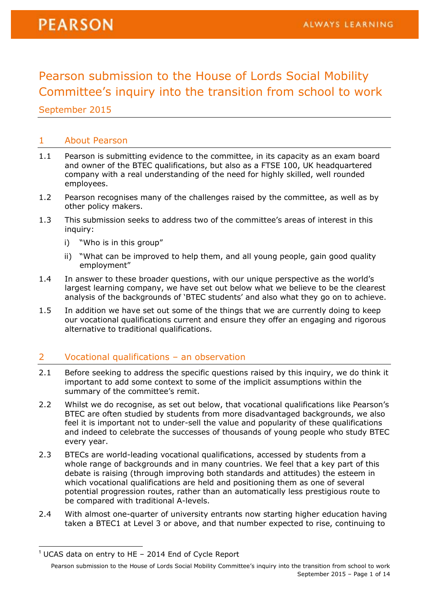Pearson submission to the House of Lords Social Mobility Committee's inquiry into the transition from school to work

September 2015

#### 1 About Pearson

- 1.1 Pearson is submitting evidence to the committee, in its capacity as an exam board and owner of the BTEC qualifications, but also as a FTSE 100, UK headquartered company with a real understanding of the need for highly skilled, well rounded employees.
- 1.2 Pearson recognises many of the challenges raised by the committee, as well as by other policy makers.
- 1.3 This submission seeks to address two of the committee's areas of interest in this inquiry:
	- i) "Who is in this group"
	- ii) "What can be improved to help them, and all young people, gain good quality employment"
- 1.4 In answer to these broader questions, with our unique perspective as the world's largest learning company, we have set out below what we believe to be the clearest analysis of the backgrounds of 'BTEC students' and also what they go on to achieve.
- 1.5 In addition we have set out some of the things that we are currently doing to keep our vocational qualifications current and ensure they offer an engaging and rigorous alternative to traditional qualifications.

#### 2 Vocational qualifications – an observation

- 2.1 Before seeking to address the specific questions raised by this inquiry, we do think it important to add some context to some of the implicit assumptions within the summary of the committee's remit.
- 2.2 Whilst we do recognise, as set out below, that vocational qualifications like Pearson's BTEC are often studied by students from more disadvantaged backgrounds, we also feel it is important not to under-sell the value and popularity of these qualifications and indeed to celebrate the successes of thousands of young people who study BTEC every year.
- 2.3 BTECs are world-leading vocational qualifications, accessed by students from a whole range of backgrounds and in many countries. We feel that a key part of this debate is raising (through improving both standards and attitudes) the esteem in which vocational qualifications are held and positioning them as one of several potential progression routes, rather than an automatically less prestigious route to be compared with traditional A-levels.
- 2.4 With almost one-quarter of university entrants now starting higher education having taken a BTEC1 at Level 3 or above, and that number expected to rise, continuing to

-

 $1$  [UCAS data on entry to HE](https://www.ucas.com/sites/default/files/2014-end-of-cycle-report-dec-14.pdf) - 2014 End of Cycle Report

Pearson submission to the House of Lords Social Mobility Committee's inquiry into the transition from school to work September 2015 – Page 1 of 14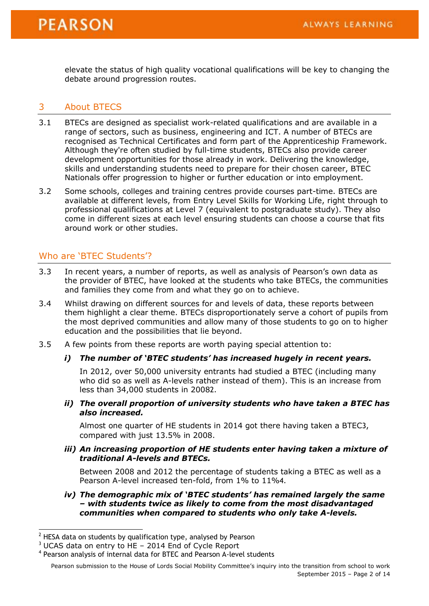elevate the status of high quality vocational qualifications will be key to changing the debate around progression routes.

#### 3 About BTECS

- 3.1 BTECs are designed as specialist work-related qualifications and are available in a range of sectors, such as business, engineering and ICT. A number of BTECs are recognised as Technical Certificates and form part of the Apprenticeship Framework. Although they're often studied by full-time students, BTECs also provide career development opportunities for those already in work. Delivering the knowledge, skills and understanding students need to prepare for their chosen career, BTEC Nationals offer progression to higher or further education or into employment.
- 3.2 Some schools, colleges and training centres provide courses part-time. BTECs are available at different levels, from Entry Level Skills for Working Life, right through to professional qualifications at Level 7 (equivalent to postgraduate study). They also come in different sizes at each level ensuring students can choose a course that fits around work or other studies.

#### Who are 'BTEC Students'?

- 3.3 In recent years, a number of reports, as well as analysis of Pearson's own data as the provider of BTEC, have looked at the students who take BTECs, the communities and families they come from and what they go on to achieve.
- 3.4 Whilst drawing on different sources for and levels of data, these reports between them highlight a clear theme. BTECs disproportionately serve a cohort of pupils from the most deprived communities and allow many of those students to go on to higher education and the possibilities that lie beyond.
- 3.5 A few points from these reports are worth paying special attention to:

#### *i) The number of 'BTEC students' has increased hugely in recent years.*

In 2012, over 50,000 university entrants had studied a BTEC (including many who did so as well as A-levels rather instead of them). This is an increase from less than 34,000 students in 20082.

#### *ii) The overall proportion of university students who have taken a BTEC has also increased.*

Almost one quarter of HE students in 2014 got there having taken a BTEC3, compared with just 13.5% in 2008.

#### *iii) An increasing proportion of HE students enter having taken a mixture of traditional A-levels and BTECs.*

Between 2008 and 2012 the percentage of students taking a BTEC as well as a Pearson A-level increased ten-fold, from 1% to 11%4.

#### *iv) The demographic mix of 'BTEC students' has remained largely the same – with students twice as likely to come from the most disadvantaged communities when compared to students who only take A-levels.*

Pearson submission to the House of Lords Social Mobility Committee's inquiry into the transition from school to work September 2015 – Page 2 of 14

 $2$  HESA data on students by qualification type, analysed by Pearson

 $3$  [UCAS data on entry to HE](https://www.ucas.com/sites/default/files/2014-end-of-cycle-report-dec-14.pdf) - 2014 End of Cycle Report

<sup>&</sup>lt;sup>4</sup> Pearson analysis of internal data for BTEC and Pearson A-level students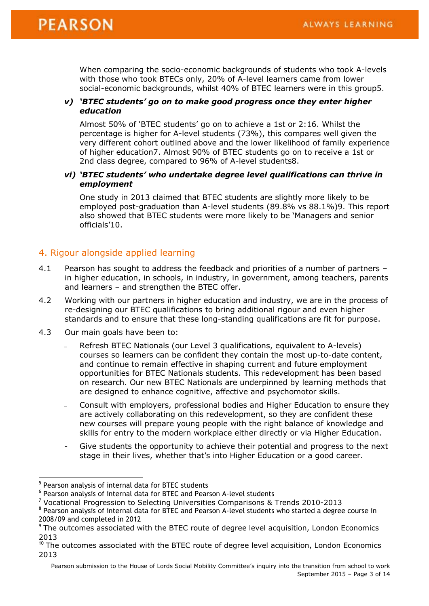When comparing the socio-economic backgrounds of students who took A-levels with those who took BTECs only, 20% of A-level learners came from lower social-economic backgrounds, whilst 40% of BTEC learners were in this group5.

#### *v) 'BTEC students' go on to make good progress once they enter higher education*

Almost 50% of 'BTEC students' go on to achieve a 1st or 2:16. Whilst the percentage is higher for A-level students (73%), this compares well given the very different cohort outlined above and the lower likelihood of family experience of higher education7. Almost 90% of BTEC students go on to receive a 1st or 2nd class degree, compared to 96% of A-level students8.

#### *vi) 'BTEC students' who undertake degree level qualifications can thrive in employment*

One study in 2013 claimed that BTEC students are slightly more likely to be employed post-graduation than A-level students (89.8% vs 88.1%)9. This report also showed that BTEC students were more likely to be 'Managers and senior officials'10.

#### 4. Rigour alongside applied learning

- 4.1 Pearson has sought to address the feedback and priorities of a number of partners in higher education, in schools, in industry, in government, among teachers, parents and learners – and strengthen the BTEC offer.
- 4.2 Working with our partners in higher education and industry, we are in the process of re-designing our BTEC qualifications to bring additional rigour and even higher standards and to ensure that these long-standing qualifications are fit for purpose.
- 4.3 Our main goals have been to:
	- Refresh BTEC Nationals (our Level 3 qualifications, equivalent to A-levels) courses so learners can be confident they contain the most up-to-date content, and continue to remain effective in shaping current and future employment opportunities for BTEC Nationals students. This redevelopment has been based on research. Our new BTEC Nationals are underpinned by learning methods that are designed to enhance cognitive, affective and psychomotor skills.
	- Consult with employers, professional bodies and Higher Education to ensure they are actively collaborating on this redevelopment, so they are confident these new courses will prepare young people with the right balance of knowledge and skills for entry to the modern workplace either directly or via Higher Education.
	- Give students the opportunity to achieve their potential and progress to the next stage in their lives, whether that's into Higher Education or a good career.

<sup>&</sup>lt;sup>5</sup> Pearson analysis of internal data for BTEC students

<sup>&</sup>lt;sup>6</sup> Pearson analysis of internal data for BTEC and Pearson A-level students

<sup>7</sup> [Vocational Progression to Selecting Universities Comparisons & Trends 2010-2013](http://www.careerpilot.org.uk/upload/Final_BTEC_Research_2014.pdf)

<sup>&</sup>lt;sup>8</sup> Pearson analysis of internal data for BTEC and Pearson A-level students who started a degree course in 2008/09 and completed in 2012

<sup>&</sup>lt;sup>9</sup> The outcomes associated with the BTEC route of degree level acquisition, London Economics [2013](http://londoneconomics.co.uk/wp-content/uploads/2013/05/Pearson-outcomes-associated-with-BTECs-plus-degree-03-May-2013-Final-Report.pdf)

<sup>10</sup> [The outcomes associated with the BTEC route of degree level acquisition, London Economics](http://londoneconomics.co.uk/wp-content/uploads/2013/05/Pearson-outcomes-associated-with-BTECs-plus-degree-03-May-2013-Final-Report.pdf)  [2013](http://londoneconomics.co.uk/wp-content/uploads/2013/05/Pearson-outcomes-associated-with-BTECs-plus-degree-03-May-2013-Final-Report.pdf)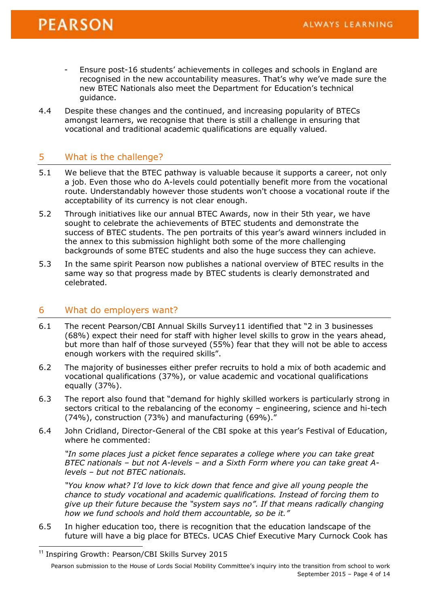## **PEARSON**

- Ensure post-16 students' achievements in colleges and schools in England are recognised in the new accountability measures. That's why we've made sure the new BTEC Nationals also meet the Department for Education's technical guidance.
- 4.4 Despite these changes and the continued, and increasing popularity of BTECs amongst learners, we recognise that there is still a challenge in ensuring that vocational and traditional academic qualifications are equally valued.

#### 5 What is the challenge?

- 5.1 We believe that the BTEC pathway is valuable because it supports a career, not only a job. Even those who do A-levels could potentially benefit more from the vocational route. Understandably however those students won't choose a vocational route if the acceptability of its currency is not clear enough.
- 5.2 Through initiatives like our annual BTEC Awards, now in their 5th year, we have sought to celebrate the achievements of BTEC students and demonstrate the success of BTEC students. The pen portraits of this year's award winners included in the annex to this submission highlight both some of the more challenging backgrounds of some BTEC students and also the huge success they can achieve.
- 5.3 In the same spirit Pearson now publishes a national overview of BTEC results in the same way so that progress made by BTEC students is clearly demonstrated and celebrated.

#### 6 What do employers want?

- 6.1 The recent Pearson/CBI Annual Skills Survey11 identified that "2 in 3 businesses (68%) expect their need for staff with higher level skills to grow in the years ahead, but more than half of those surveyed (55%) fear that they will not be able to access enough workers with the required skills".
- 6.2 The majority of businesses either prefer recruits to hold a mix of both academic and vocational qualifications (37%), or value academic and vocational qualifications equally (37%).
- 6.3 The report also found that "demand for highly skilled workers is particularly strong in sectors critical to the rebalancing of the economy – engineering, science and hi-tech (74%), construction (73%) and manufacturing (69%)."
- 6.4 John Cridland, Director-General of the CBI spoke at this year's Festival of Education, where he commented:

*"In some places just a picket fence separates a college where you can take great BTEC nationals – but not A-levels – and a Sixth Form where you can take great Alevels – but not BTEC nationals.*

*"You know what? I'd love to kick down that fence and give all young people the chance to study vocational and academic qualifications. Instead of forcing them to give up their future because the "system says no". If that means radically changing how we fund schools and hold them accountable, so be it."*

6.5 In higher education too, there is recognition that the education landscape of the future will have a big place for BTECs. UCAS Chief Executive Mary Curnock Cook has

-

<sup>&</sup>lt;sup>11</sup> [Inspiring Growth: Pearson/CBI Skills Survey 2015](http://news.cbi.org.uk/reports/education-and-skills-survey-2015/education-and-skills-survey-2015/)

Pearson submission to the House of Lords Social Mobility Committee's inquiry into the transition from school to work September 2015 – Page 4 of 14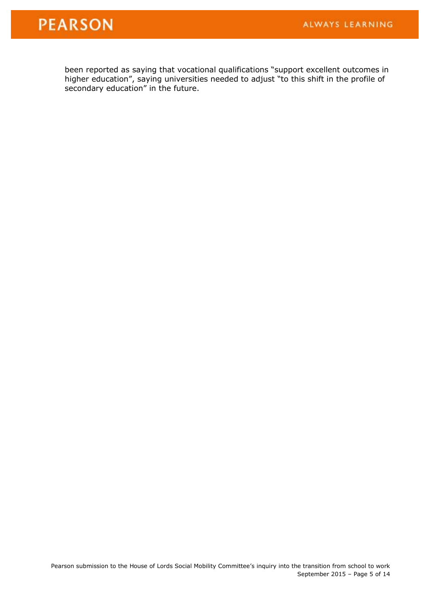# **PEARSON**

been reported as saying that vocational qualifications "support excellent outcomes in higher education", saying universities needed to adjust "to this shift in the profile of secondary education" in the future.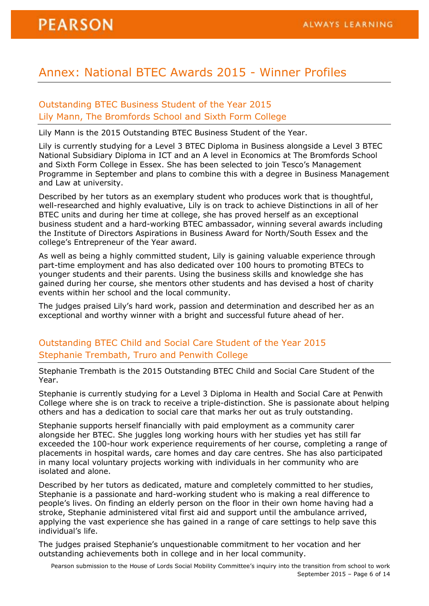## Annex: National BTEC Awards 2015 - Winner Profiles

#### Outstanding BTEC Business Student of the Year 2015 Lily Mann, The Bromfords School and Sixth Form College

Lily Mann is the 2015 Outstanding BTEC Business Student of the Year.

Lily is currently studying for a Level 3 BTEC Diploma in Business alongside a Level 3 BTEC National Subsidiary Diploma in ICT and an A level in Economics at The Bromfords School and Sixth Form College in Essex. She has been selected to join Tesco's Management Programme in September and plans to combine this with a degree in Business Management and Law at university.

Described by her tutors as an exemplary student who produces work that is thoughtful, well-researched and highly evaluative, Lily is on track to achieve Distinctions in all of her BTEC units and during her time at college, she has proved herself as an exceptional business student and a hard-working BTEC ambassador, winning several awards including the Institute of Directors Aspirations in Business Award for North/South Essex and the college's Entrepreneur of the Year award.

As well as being a highly committed student, Lily is gaining valuable experience through part-time employment and has also dedicated over 100 hours to promoting BTECs to younger students and their parents. Using the business skills and knowledge she has gained during her course, she mentors other students and has devised a host of charity events within her school and the local community.

The judges praised Lily's hard work, passion and determination and described her as an exceptional and worthy winner with a bright and successful future ahead of her.

## Outstanding BTEC Child and Social Care Student of the Year 2015 Stephanie Trembath, Truro and Penwith College

Stephanie Trembath is the 2015 Outstanding BTEC Child and Social Care Student of the Year.

Stephanie is currently studying for a Level 3 Diploma in Health and Social Care at Penwith College where she is on track to receive a triple-distinction. She is passionate about helping others and has a dedication to social care that marks her out as truly outstanding.

Stephanie supports herself financially with paid employment as a community carer alongside her BTEC. She juggles long working hours with her studies yet has still far exceeded the 100-hour work experience requirements of her course, completing a range of placements in hospital wards, care homes and day care centres. She has also participated in many local voluntary projects working with individuals in her community who are isolated and alone.

Described by her tutors as dedicated, mature and completely committed to her studies, Stephanie is a passionate and hard-working student who is making a real difference to people's lives. On finding an elderly person on the floor in their own home having had a stroke, Stephanie administered vital first aid and support until the ambulance arrived, applying the vast experience she has gained in a range of care settings to help save this individual's life.

The judges praised Stephanie's unquestionable commitment to her vocation and her outstanding achievements both in college and in her local community.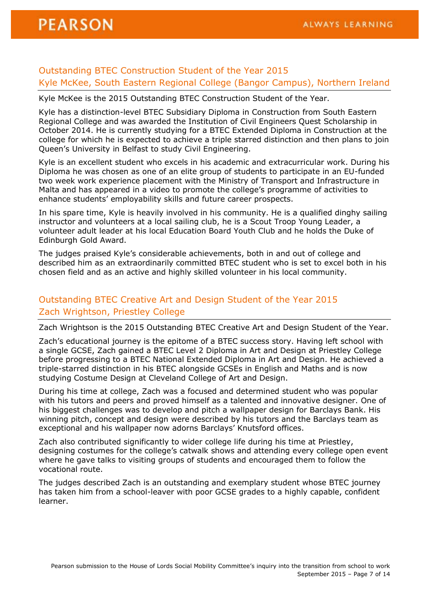#### Outstanding BTEC Construction Student of the Year 2015 Kyle McKee, South Eastern Regional College (Bangor Campus), Northern Ireland

Kyle McKee is the 2015 Outstanding BTEC Construction Student of the Year.

Kyle has a distinction-level BTEC Subsidiary Diploma in Construction from South Eastern Regional College and was awarded the Institution of Civil Engineers Quest Scholarship in October 2014. He is currently studying for a BTEC Extended Diploma in Construction at the college for which he is expected to achieve a triple starred distinction and then plans to join Queen's University in Belfast to study Civil Engineering.

Kyle is an excellent student who excels in his academic and extracurricular work. During his Diploma he was chosen as one of an elite group of students to participate in an EU-funded two week work experience placement with the Ministry of Transport and Infrastructure in Malta and has appeared in a video to promote the college's programme of activities to enhance students' employability skills and future career prospects.

In his spare time, Kyle is heavily involved in his community. He is a qualified dinghy sailing instructor and volunteers at a local sailing club, he is a Scout Troop Young Leader, a volunteer adult leader at his local Education Board Youth Club and he holds the Duke of Edinburgh Gold Award.

The judges praised Kyle's considerable achievements, both in and out of college and described him as an extraordinarily committed BTEC student who is set to excel both in his chosen field and as an active and highly skilled volunteer in his local community.

## Outstanding BTEC Creative Art and Design Student of the Year 2015 Zach Wrightson, Priestley College

Zach Wrightson is the 2015 Outstanding BTEC Creative Art and Design Student of the Year.

Zach's educational journey is the epitome of a BTEC success story. Having left school with a single GCSE, Zach gained a BTEC Level 2 Diploma in Art and Design at Priestley College before progressing to a BTEC National Extended Diploma in Art and Design. He achieved a triple-starred distinction in his BTEC alongside GCSEs in English and Maths and is now studying Costume Design at Cleveland College of Art and Design.

During his time at college, Zach was a focused and determined student who was popular with his tutors and peers and proved himself as a talented and innovative designer. One of his biggest challenges was to develop and pitch a wallpaper design for Barclays Bank. His winning pitch, concept and design were described by his tutors and the Barclays team as exceptional and his wallpaper now adorns Barclays' Knutsford offices.

Zach also contributed significantly to wider college life during his time at Priestley, designing costumes for the college's catwalk shows and attending every college open event where he gave talks to visiting groups of students and encouraged them to follow the vocational route.

The judges described Zach is an outstanding and exemplary student whose BTEC journey has taken him from a school-leaver with poor GCSE grades to a highly capable, confident learner.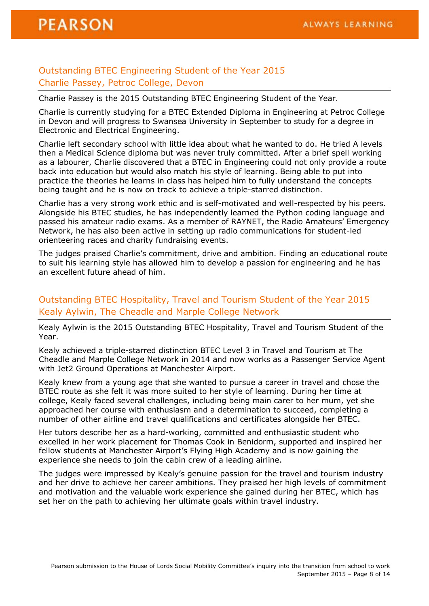#### Outstanding BTEC Engineering Student of the Year 2015 Charlie Passey, Petroc College, Devon

Charlie Passey is the 2015 Outstanding BTEC Engineering Student of the Year.

Charlie is currently studying for a BTEC Extended Diploma in Engineering at Petroc College in Devon and will progress to Swansea University in September to study for a degree in Electronic and Electrical Engineering.

Charlie left secondary school with little idea about what he wanted to do. He tried A levels then a Medical Science diploma but was never truly committed. After a brief spell working as a labourer, Charlie discovered that a BTEC in Engineering could not only provide a route back into education but would also match his style of learning. Being able to put into practice the theories he learns in class has helped him to fully understand the concepts being taught and he is now on track to achieve a triple-starred distinction.

Charlie has a very strong work ethic and is self-motivated and well-respected by his peers. Alongside his BTEC studies, he has independently learned the Python coding language and passed his amateur radio exams. As a member of RAYNET, the Radio Amateurs' Emergency Network, he has also been active in setting up radio communications for student-led orienteering races and charity fundraising events.

The judges praised Charlie's commitment, drive and ambition. Finding an educational route to suit his learning style has allowed him to develop a passion for engineering and he has an excellent future ahead of him.

#### Outstanding BTEC Hospitality, Travel and Tourism Student of the Year 2015 Kealy Aylwin, The Cheadle and Marple College Network

Kealy Aylwin is the 2015 Outstanding BTEC Hospitality, Travel and Tourism Student of the Year.

Kealy achieved a triple-starred distinction BTEC Level 3 in Travel and Tourism at The Cheadle and Marple College Network in 2014 and now works as a Passenger Service Agent with Jet2 Ground Operations at Manchester Airport.

Kealy knew from a young age that she wanted to pursue a career in travel and chose the BTEC route as she felt it was more suited to her style of learning. During her time at college, Kealy faced several challenges, including being main carer to her mum, yet she approached her course with enthusiasm and a determination to succeed, completing a number of other airline and travel qualifications and certificates alongside her BTEC.

Her tutors describe her as a hard-working, committed and enthusiastic student who excelled in her work placement for Thomas Cook in Benidorm, supported and inspired her fellow students at Manchester Airport's Flying High Academy and is now gaining the experience she needs to join the cabin crew of a leading airline.

The judges were impressed by Kealy's genuine passion for the travel and tourism industry and her drive to achieve her career ambitions. They praised her high levels of commitment and motivation and the valuable work experience she gained during her BTEC, which has set her on the path to achieving her ultimate goals within travel industry.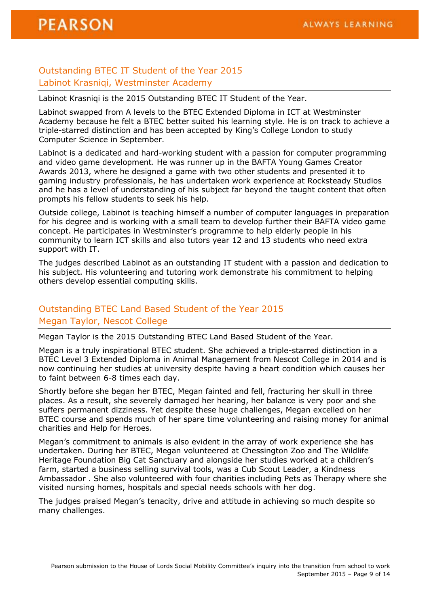## Outstanding BTEC IT Student of the Year 2015 Labinot Krasniqi, Westminster Academy

Labinot Krasniqi is the 2015 Outstanding BTEC IT Student of the Year.

Labinot swapped from A levels to the BTEC Extended Diploma in ICT at Westminster Academy because he felt a BTEC better suited his learning style. He is on track to achieve a triple-starred distinction and has been accepted by King's College London to study Computer Science in September.

Labinot is a dedicated and hard-working student with a passion for computer programming and video game development. He was runner up in the BAFTA Young Games Creator Awards 2013, where he designed a game with two other students and presented it to gaming industry professionals, he has undertaken work experience at Rocksteady Studios and he has a level of understanding of his subject far beyond the taught content that often prompts his fellow students to seek his help.

Outside college, Labinot is teaching himself a number of computer languages in preparation for his degree and is working with a small team to develop further their BAFTA video game concept. He participates in Westminster's programme to help elderly people in his community to learn ICT skills and also tutors year 12 and 13 students who need extra support with IT.

The judges described Labinot as an outstanding IT student with a passion and dedication to his subject. His volunteering and tutoring work demonstrate his commitment to helping others develop essential computing skills.

## Outstanding BTEC Land Based Student of the Year 2015 Megan Taylor, Nescot College

Megan Taylor is the 2015 Outstanding BTEC Land Based Student of the Year.

Megan is a truly inspirational BTEC student. She achieved a triple-starred distinction in a BTEC Level 3 Extended Diploma in Animal Management from Nescot College in 2014 and is now continuing her studies at university despite having a heart condition which causes her to faint between 6-8 times each day.

Shortly before she began her BTEC, Megan fainted and fell, fracturing her skull in three places. As a result, she severely damaged her hearing, her balance is very poor and she suffers permanent dizziness. Yet despite these huge challenges, Megan excelled on her BTEC course and spends much of her spare time volunteering and raising money for animal charities and Help for Heroes.

Megan's commitment to animals is also evident in the array of work experience she has undertaken. During her BTEC, Megan volunteered at Chessington Zoo and The Wildlife Heritage Foundation Big Cat Sanctuary and alongside her studies worked at a children's farm, started a business selling survival tools, was a Cub Scout Leader, a Kindness Ambassador . She also volunteered with four charities including Pets as Therapy where she visited nursing homes, hospitals and special needs schools with her dog.

The judges praised Megan's tenacity, drive and attitude in achieving so much despite so many challenges.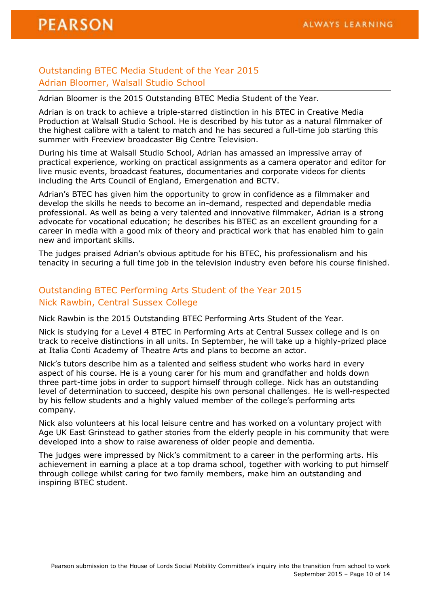## Outstanding BTEC Media Student of the Year 2015 Adrian Bloomer, Walsall Studio School

Adrian Bloomer is the 2015 Outstanding BTEC Media Student of the Year.

Adrian is on track to achieve a triple-starred distinction in his BTEC in Creative Media Production at Walsall Studio School. He is described by his tutor as a natural filmmaker of the highest calibre with a talent to match and he has secured a full-time job starting this summer with Freeview broadcaster Big Centre Television.

During his time at Walsall Studio School, Adrian has amassed an impressive array of practical experience, working on practical assignments as a camera operator and editor for live music events, broadcast features, documentaries and corporate videos for clients including the Arts Council of England, Emergenation and BCTV.

Adrian's BTEC has given him the opportunity to grow in confidence as a filmmaker and develop the skills he needs to become an in-demand, respected and dependable media professional. As well as being a very talented and innovative filmmaker, Adrian is a strong advocate for vocational education; he describes his BTEC as an excellent grounding for a career in media with a good mix of theory and practical work that has enabled him to gain new and important skills.

The judges praised Adrian's obvious aptitude for his BTEC, his professionalism and his tenacity in securing a full time job in the television industry even before his course finished.

## Outstanding BTEC Performing Arts Student of the Year 2015 Nick Rawbin, Central Sussex College

Nick Rawbin is the 2015 Outstanding BTEC Performing Arts Student of the Year.

Nick is studying for a Level 4 BTEC in Performing Arts at Central Sussex college and is on track to receive distinctions in all units. In September, he will take up a highly-prized place at Italia Conti Academy of Theatre Arts and plans to become an actor.

Nick's tutors describe him as a talented and selfless student who works hard in every aspect of his course. He is a young carer for his mum and grandfather and holds down three part-time jobs in order to support himself through college. Nick has an outstanding level of determination to succeed, despite his own personal challenges. He is well-respected by his fellow students and a highly valued member of the college's performing arts company.

Nick also volunteers at his local leisure centre and has worked on a voluntary project with Age UK East Grinstead to gather stories from the elderly people in his community that were developed into a show to raise awareness of older people and dementia.

The judges were impressed by Nick's commitment to a career in the performing arts. His achievement in earning a place at a top drama school, together with working to put himself through college whilst caring for two family members, make him an outstanding and inspiring BTEC student.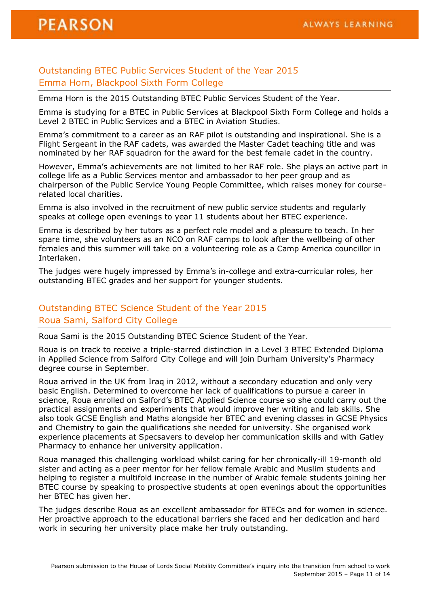#### Outstanding BTEC Public Services Student of the Year 2015 Emma Horn, Blackpool Sixth Form College

Emma Horn is the 2015 Outstanding BTEC Public Services Student of the Year.

Emma is studying for a BTEC in Public Services at Blackpool Sixth Form College and holds a Level 2 BTEC in Public Services and a BTEC in Aviation Studies.

Emma's commitment to a career as an RAF pilot is outstanding and inspirational. She is a Flight Sergeant in the RAF cadets, was awarded the Master Cadet teaching title and was nominated by her RAF squadron for the award for the best female cadet in the country.

However, Emma's achievements are not limited to her RAF role. She plays an active part in college life as a Public Services mentor and ambassador to her peer group and as chairperson of the Public Service Young People Committee, which raises money for courserelated local charities.

Emma is also involved in the recruitment of new public service students and regularly speaks at college open evenings to year 11 students about her BTEC experience.

Emma is described by her tutors as a perfect role model and a pleasure to teach. In her spare time, she volunteers as an NCO on RAF camps to look after the wellbeing of other females and this summer will take on a volunteering role as a Camp America councillor in Interlaken.

The judges were hugely impressed by Emma's in-college and extra-curricular roles, her outstanding BTEC grades and her support for younger students.

#### Outstanding BTEC Science Student of the Year 2015 Roua Sami, Salford City College

Roua Sami is the 2015 Outstanding BTEC Science Student of the Year.

Roua is on track to receive a triple-starred distinction in a Level 3 BTEC Extended Diploma in Applied Science from Salford City College and will join Durham University's Pharmacy degree course in September.

Roua arrived in the UK from Iraq in 2012, without a secondary education and only very basic English. Determined to overcome her lack of qualifications to pursue a career in science, Roua enrolled on Salford's BTEC Applied Science course so she could carry out the practical assignments and experiments that would improve her writing and lab skills. She also took GCSE English and Maths alongside her BTEC and evening classes in GCSE Physics and Chemistry to gain the qualifications she needed for university. She organised work experience placements at Specsavers to develop her communication skills and with Gatley Pharmacy to enhance her university application.

Roua managed this challenging workload whilst caring for her chronically-ill 19-month old sister and acting as a peer mentor for her fellow female Arabic and Muslim students and helping to register a multifold increase in the number of Arabic female students joining her BTEC course by speaking to prospective students at open evenings about the opportunities her BTEC has given her.

The judges describe Roua as an excellent ambassador for BTECs and for women in science. Her proactive approach to the educational barriers she faced and her dedication and hard work in securing her university place make her truly outstanding.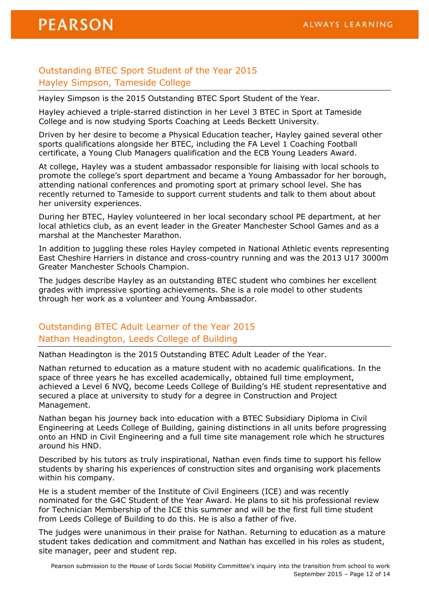## Outstanding BTEC Sport Student of the Year 2015 Hayley Simpson, Tameside College

Hayley Simpson is the 2015 Outstanding BTEC Sport Student of the Year.

Hayley achieved a triple-starred distinction in her Level 3 BTEC in Sport at Tameside College and is now studying Sports Coaching at Leeds Beckett University.

Driven by her desire to become a Physical Education teacher, Hayley gained several other sports qualifications alongside her BTEC, including the FA Level 1 Coaching Football certificate, a Young Club Managers qualification and the ECB Young Leaders Award.

At college, Hayley was a student ambassador responsible for liaising with local schools to promote the college's sport department and became a Young Ambassador for her borough, attending national conferences and promoting sport at primary school level. She has recently returned to Tameside to support current students and talk to them about about her university experiences.

During her BTEC, Hayley volunteered in her local secondary school PE department, at her local athletics club, as an event leader in the Greater Manchester School Games and as a marshal at the Manchester Marathon.

In addition to juggling these roles Hayley competed in National Athletic events representing East Cheshire Harriers in distance and cross-country running and was the 2013 U17 3000m Greater Manchester Schools Champion.

The judges describe Hayley as an outstanding BTEC student who combines her excellent grades with impressive sporting achievements. She is a role model to other students through her work as a volunteer and Young Ambassador.

## Outstanding BTEC Adult Learner of the Year 2015 Nathan Headington, Leeds College of Building

Nathan Headington is the 2015 Outstanding BTEC Adult Leader of the Year.

Nathan returned to education as a mature student with no academic qualifications. In the space of three years he has excelled academically, obtained full time employment, achieved a Level 6 NVQ, become Leeds College of Building's HE student representative and secured a place at university to study for a degree in Construction and Project Management.

Nathan began his journey back into education with a BTEC Subsidiary Diploma in Civil Engineering at Leeds College of Building, gaining distinctions in all units before progressing onto an HND in Civil Engineering and a full time site management role which he structures around his HND.

Described by his tutors as truly inspirational, Nathan even finds time to support his fellow students by sharing his experiences of construction sites and organising work placements within his company.

He is a student member of the Institute of Civil Engineers (ICE) and was recently nominated for the G4C Student of the Year Award. He plans to sit his professional review for Technician Membership of the ICE this summer and will be the first full time student from Leeds College of Building to do this. He is also a father of five.

The judges were unanimous in their praise for Nathan. Returning to education as a mature student takes dedication and commitment and Nathan has excelled in his roles as student, site manager, peer and student rep.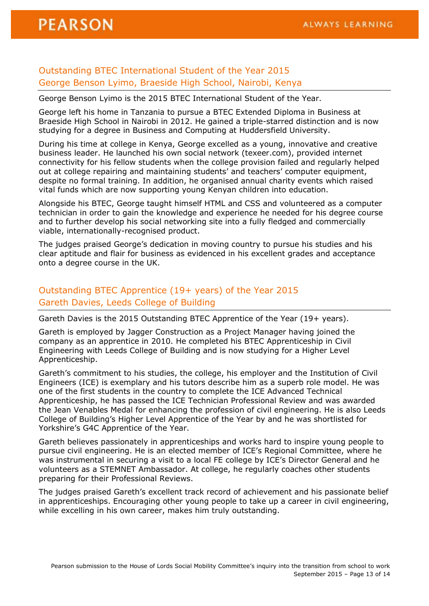#### Outstanding BTEC International Student of the Year 2015 George Benson Lyimo, Braeside High School, Nairobi, Kenya

George Benson Lyimo is the 2015 BTEC International Student of the Year.

George left his home in Tanzania to pursue a BTEC Extended Diploma in Business at Braeside High School in Nairobi in 2012. He gained a triple-starred distinction and is now studying for a degree in Business and Computing at Huddersfield University.

During his time at college in Kenya, George excelled as a young, innovative and creative business leader. He launched his own social network (texeer.com), provided internet connectivity for his fellow students when the college provision failed and regularly helped out at college repairing and maintaining students' and teachers' computer equipment, despite no formal training. In addition, he organised annual charity events which raised vital funds which are now supporting young Kenyan children into education.

Alongside his BTEC, George taught himself HTML and CSS and volunteered as a computer technician in order to gain the knowledge and experience he needed for his degree course and to further develop his social networking site into a fully fledged and commercially viable, internationally-recognised product.

The judges praised George's dedication in moving country to pursue his studies and his clear aptitude and flair for business as evidenced in his excellent grades and acceptance onto a degree course in the UK.

## Outstanding BTEC Apprentice (19+ years) of the Year 2015 Gareth Davies, Leeds College of Building

Gareth Davies is the 2015 Outstanding BTEC Apprentice of the Year (19+ years).

Gareth is employed by Jagger Construction as a Project Manager having joined the company as an apprentice in 2010. He completed his BTEC Apprenticeship in Civil Engineering with Leeds College of Building and is now studying for a Higher Level Apprenticeship.

Gareth's commitment to his studies, the college, his employer and the Institution of Civil Engineers (ICE) is exemplary and his tutors describe him as a superb role model. He was one of the first students in the country to complete the ICE Advanced Technical Apprenticeship, he has passed the ICE Technician Professional Review and was awarded the Jean Venables Medal for enhancing the profession of civil engineering. He is also Leeds College of Building's Higher Level Apprentice of the Year by and he was shortlisted for Yorkshire's G4C Apprentice of the Year.

Gareth believes passionately in apprenticeships and works hard to inspire young people to pursue civil engineering. He is an elected member of ICE's Regional Committee, where he was instrumental in securing a visit to a local FE college by ICE's Director General and he volunteers as a STEMNET Ambassador. At college, he regularly coaches other students preparing for their Professional Reviews.

The judges praised Gareth's excellent track record of achievement and his passionate belief in apprenticeships. Encouraging other young people to take up a career in civil engineering, while excelling in his own career, makes him truly outstanding.